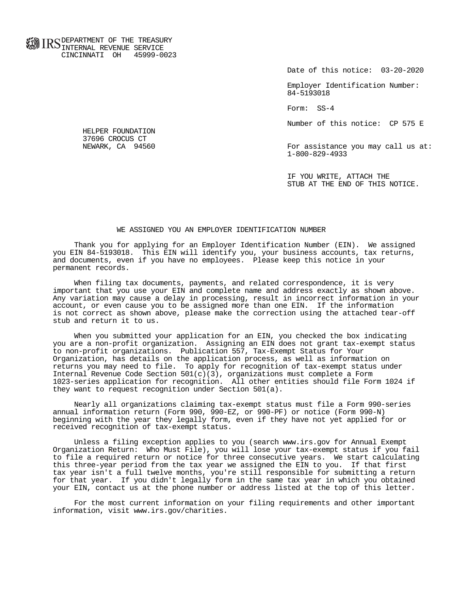**FOR ID C** DEPARTMENT OF THE TREASURY **WWW IIND** INTERNAL REVENUE SERVICE CINCINNATI OH 45999-0023

Date of this notice: 03-20-2020

 Employer Identification Number: 84-5193018

Form: SS-4

Number of this notice: CP 575 E

For assistance you may call us at: 1-800-829-4933

 IF YOU WRITE, ATTACH THE STUB AT THE END OF THIS NOTICE.

## WE ASSIGNED YOU AN EMPLOYER IDENTIFICATION NUMBER

 Thank you for applying for an Employer Identification Number (EIN). We assigned you EIN 84-5193018. This EIN will identify you, your business accounts, tax returns, and documents, even if you have no employees. Please keep this notice in your permanent records.

 When filing tax documents, payments, and related correspondence, it is very important that you use your EIN and complete name and address exactly as shown above. Any variation may cause a delay in processing, result in incorrect information in your account, or even cause you to be assigned more than one EIN. If the information is not correct as shown above, please make the correction using the attached tear-off stub and return it to us.

 When you submitted your application for an EIN, you checked the box indicating you are a non-profit organization. Assigning an EIN does not grant tax-exempt status to non-profit organizations. Publication 557, Tax-Exempt Status for Your Organization, has details on the application process, as well as information on returns you may need to file. To apply for recognition of tax-exempt status under Internal Revenue Code Section  $501(c)(3)$ , organizations must complete a Form 1023-series application for recognition. All other entities should file Form 1024 if they want to request recognition under Section 501(a).

 Nearly all organizations claiming tax-exempt status must file a Form 990-series annual information return (Form 990, 990-EZ, or 990-PF) or notice (Form 990-N) beginning with the year they legally form, even if they have not yet applied for or received recognition of tax-exempt status.

 Unless a filing exception applies to you (search www.irs.gov for Annual Exempt Organization Return: Who Must File), you will lose your tax-exempt status if you fail to file a required return or notice for three consecutive years. We start calculating this three-year period from the tax year we assigned the EIN to you. If that first tax year isn't a full twelve months, you're still responsible for submitting a return for that year. If you didn't legally form in the same tax year in which you obtained your EIN, contact us at the phone number or address listed at the top of this letter.

 For the most current information on your filing requirements and other important information, visit www.irs.gov/charities.

 HELPER FOUNDATION 37696 CROCUS CT<br>NEWARK, CA 94560